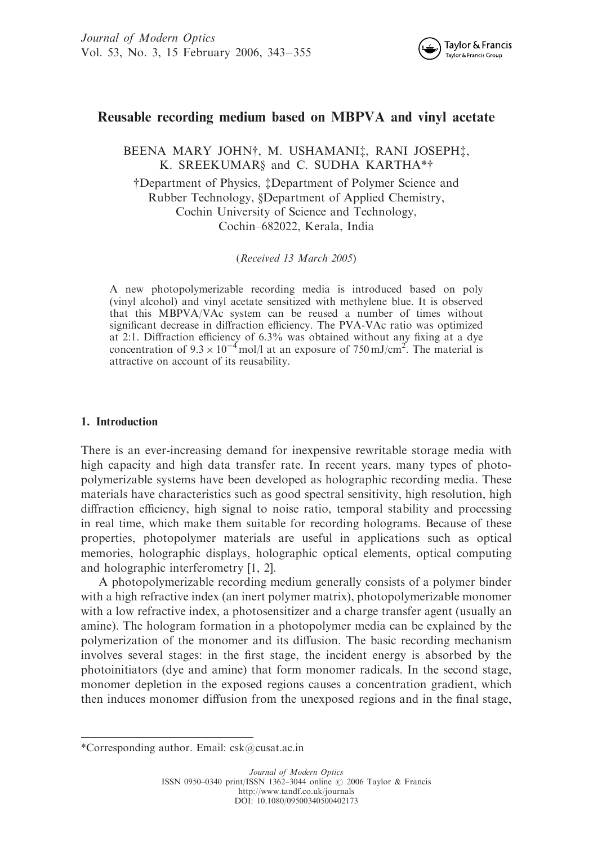

# Reusable recording medium based on MBPVA and vinyl acetate

BEENA MARY JOHN†, M. USHAMANI<sup>†</sup>, RANI JOSEPH<sup>†</sup>, K. SREEKUMAR§ and C. SUDHA KARTHA\*† yDepartment of Physics, zDepartment of Polymer Science and Rubber Technology, §Department of Applied Chemistry, Cochin University of Science and Technology,

Cochin–682022, Kerala, India

(Received 13 March 2005)

A new photopolymerizable recording media is introduced based on poly (vinyl alcohol) and vinyl acetate sensitized with methylene blue. It is observed that this MBPVA/VAc system can be reused a number of times without significant decrease in diffraction efficiency. The PVA-VAc ratio was optimized at 2:1. Diffraction efficiency of 6.3% was obtained without any fixing at a dye concentration of  $9.3 \times 10^{-4}$  mol/l at an exposure of 750 mJ/cm<sup>2</sup>. The material is attractive on account of its reusability.

## 1. Introduction

There is an ever-increasing demand for inexpensive rewritable storage media with high capacity and high data transfer rate. In recent years, many types of photopolymerizable systems have been developed as holographic recording media. These materials have characteristics such as good spectral sensitivity, high resolution, high diffraction efficiency, high signal to noise ratio, temporal stability and processing in real time, which make them suitable for recording holograms. Because of these properties, photopolymer materials are useful in applications such as optical memories, holographic displays, holographic optical elements, optical computing and holographic interferometry [1, 2].

A photopolymerizable recording medium generally consists of a polymer binder with a high refractive index (an inert polymer matrix), photopolymerizable monomer with a low refractive index, a photosensitizer and a charge transfer agent (usually an amine). The hologram formation in a photopolymer media can be explained by the polymerization of the monomer and its diffusion. The basic recording mechanism involves several stages: in the first stage, the incident energy is absorbed by the photoinitiators (dye and amine) that form monomer radicals. In the second stage, monomer depletion in the exposed regions causes a concentration gradient, which then induces monomer diffusion from the unexposed regions and in the final stage,

<sup>\*</sup>Corresponding author. Email: csk@cusat.ac.in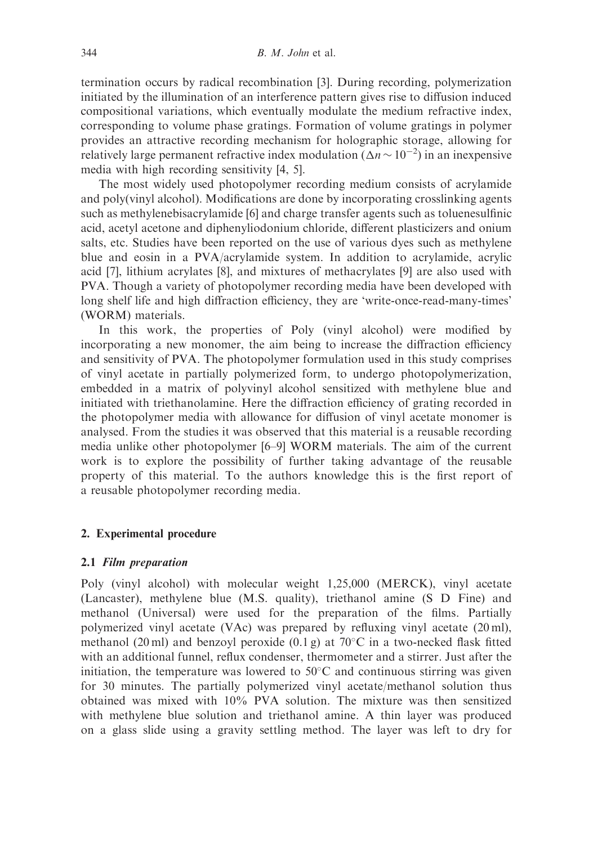termination occurs by radical recombination [3]. During recording, polymerization initiated by the illumination of an interference pattern gives rise to diffusion induced compositional variations, which eventually modulate the medium refractive index, corresponding to volume phase gratings. Formation of volume gratings in polymer provides an attractive recording mechanism for holographic storage, allowing for relatively large permanent refractive index modulation  $(\Delta n \sim 10^{-2})$  in an inexpensive media with high recording sensitivity [4, 5].

The most widely used photopolymer recording medium consists of acrylamide and poly(vinyl alcohol). Modifications are done by incorporating crosslinking agents such as methylenebisacrylamide [6] and charge transfer agents such as toluenesulfinic acid, acetyl acetone and diphenyliodonium chloride, different plasticizers and onium salts, etc. Studies have been reported on the use of various dyes such as methylene blue and eosin in a PVA/acrylamide system. In addition to acrylamide, acrylic acid [7], lithium acrylates [8], and mixtures of methacrylates [9] are also used with PVA. Though a variety of photopolymer recording media have been developed with long shelf life and high diffraction efficiency, they are 'write-once-read-many-times' (WORM) materials.

In this work, the properties of Poly (vinyl alcohol) were modified by incorporating a new monomer, the aim being to increase the diffraction efficiency and sensitivity of PVA. The photopolymer formulation used in this study comprises of vinyl acetate in partially polymerized form, to undergo photopolymerization, embedded in a matrix of polyvinyl alcohol sensitized with methylene blue and initiated with triethanolamine. Here the diffraction efficiency of grating recorded in the photopolymer media with allowance for diffusion of vinyl acetate monomer is analysed. From the studies it was observed that this material is a reusable recording media unlike other photopolymer [6–9] WORM materials. The aim of the current work is to explore the possibility of further taking advantage of the reusable property of this material. To the authors knowledge this is the first report of a reusable photopolymer recording media.

## 2. Experimental procedure

### 2.1 Film preparation

Poly (vinyl alcohol) with molecular weight 1,25,000 (MERCK), vinyl acetate (Lancaster), methylene blue (M.S. quality), triethanol amine (S D Fine) and methanol (Universal) were used for the preparation of the films. Partially polymerized vinyl acetate (VAc) was prepared by refluxing vinyl acetate (20 ml), methanol (20 ml) and benzoyl peroxide (0.1 g) at  $70^{\circ}$ C in a two-necked flask fitted with an additional funnel, reflux condenser, thermometer and a stirrer. Just after the initiation, the temperature was lowered to  $50^{\circ}$ C and continuous stirring was given for 30 minutes. The partially polymerized vinyl acetate/methanol solution thus obtained was mixed with 10% PVA solution. The mixture was then sensitized with methylene blue solution and triethanol amine. A thin layer was produced on a glass slide using a gravity settling method. The layer was left to dry for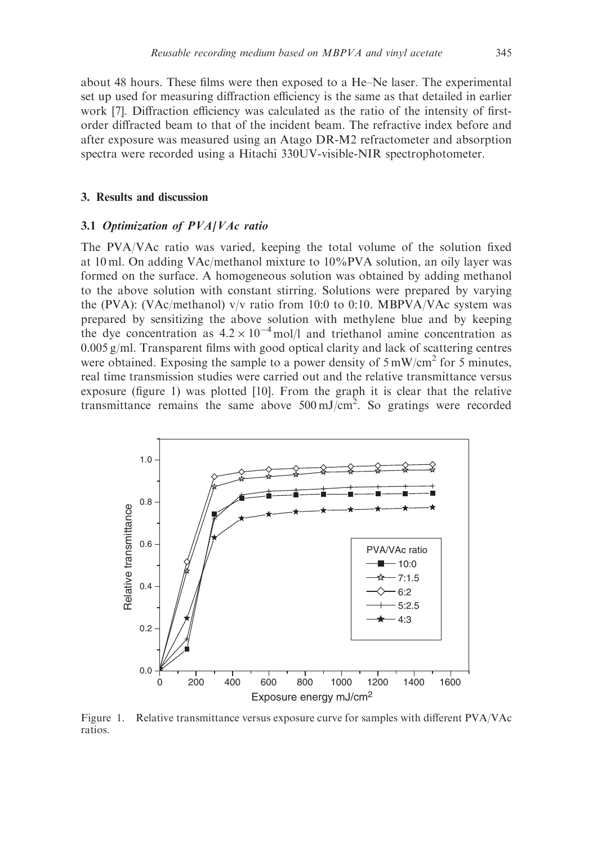about 48 hours. These films were then exposed to a He–Ne laser. The experimental set up used for measuring diffraction efficiency is the same as that detailed in earlier work [7]. Diffraction efficiency was calculated as the ratio of the intensity of firstorder diffracted beam to that of the incident beam. The refractive index before and after exposure was measured using an Atago DR-M2 refractometer and absorption spectra were recorded using a Hitachi 330UV-visible-NIR spectrophotometer.

## 3. Results and discussion

#### 3.1 Optimization of PVA/VAc ratio

The PVA/VAc ratio was varied, keeping the total volume of the solution fixed at 10 ml. On adding VAc/methanol mixture to 10%PVA solution, an oily layer was formed on the surface. A homogeneous solution was obtained by adding methanol to the above solution with constant stirring. Solutions were prepared by varying the (PVA): (VAc/methanol) v/v ratio from 10:0 to 0:10. MBPVA/VAc system was prepared by sensitizing the above solution with methylene blue and by keeping the dye concentration as  $4.2 \times 10^{-4}$  mol/l and triethanol amine concentration as 0.005 g/ml. Transparent films with good optical clarity and lack of scattering centres were obtained. Exposing the sample to a power density of  $5 \text{ mW/cm}^2$  for 5 minutes, real time transmission studies were carried out and the relative transmittance versus exposure (figure 1) was plotted [10]. From the graph it is clear that the relative transmittance remains the same above  $500 \text{ mJ/cm}^2$ . So gratings were recorded



Figure 1. Relative transmittance versus exposure curve for samples with different PVA/VAc ratios.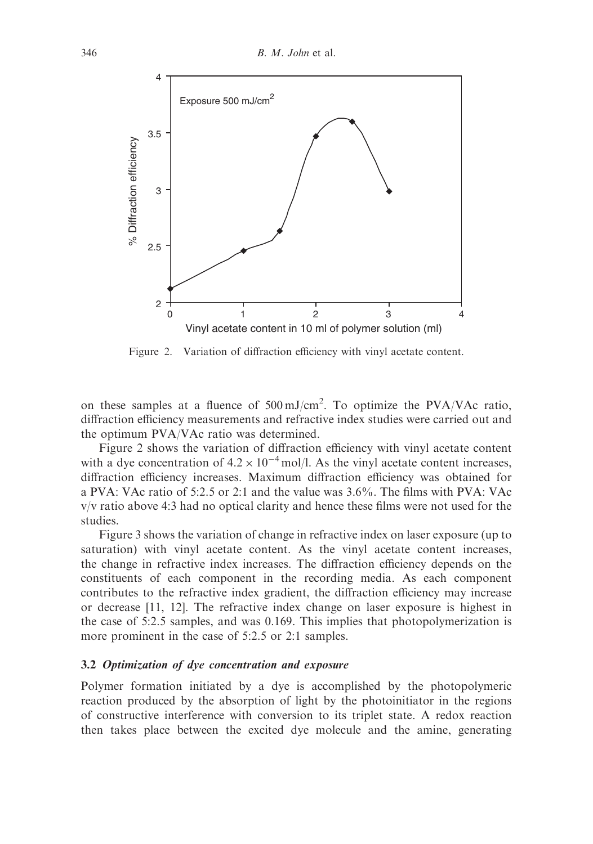

Figure 2. Variation of diffraction efficiency with vinyl acetate content.

on these samples at a fluence of  $500 \text{ mJ/cm}^2$ . To optimize the PVA/VAc ratio, diffraction efficiency measurements and refractive index studies were carried out and the optimum PVA/VAc ratio was determined.

Figure 2 shows the variation of diffraction efficiency with vinyl acetate content with a dye concentration of  $4.2 \times 10^{-4}$  mol/l. As the vinyl acetate content increases, diffraction efficiency increases. Maximum diffraction efficiency was obtained for a PVA: VAc ratio of 5:2.5 or 2:1 and the value was 3.6%. The films with PVA: VAc v/v ratio above 4:3 had no optical clarity and hence these films were not used for the studies.

Figure 3 shows the variation of change in refractive index on laser exposure (up to saturation) with vinyl acetate content. As the vinyl acetate content increases, the change in refractive index increases. The diffraction efficiency depends on the constituents of each component in the recording media. As each component contributes to the refractive index gradient, the diffraction efficiency may increase or decrease [11, 12]. The refractive index change on laser exposure is highest in the case of 5:2.5 samples, and was 0.169. This implies that photopolymerization is more prominent in the case of 5:2.5 or 2:1 samples.

### 3.2 Optimization of dye concentration and exposure

Polymer formation initiated by a dye is accomplished by the photopolymeric reaction produced by the absorption of light by the photoinitiator in the regions of constructive interference with conversion to its triplet state. A redox reaction then takes place between the excited dye molecule and the amine, generating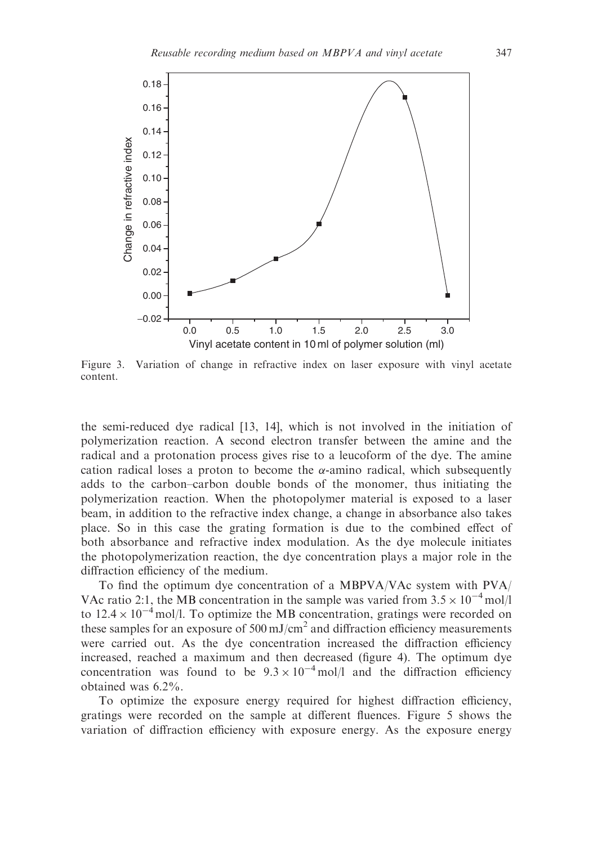

Figure 3. Variation of change in refractive index on laser exposure with vinyl acetate content.

the semi-reduced dye radical [13, 14], which is not involved in the initiation of polymerization reaction. A second electron transfer between the amine and the radical and a protonation process gives rise to a leucoform of the dye. The amine cation radical loses a proton to become the  $\alpha$ -amino radical, which subsequently adds to the carbon–carbon double bonds of the monomer, thus initiating the polymerization reaction. When the photopolymer material is exposed to a laser beam, in addition to the refractive index change, a change in absorbance also takes place. So in this case the grating formation is due to the combined effect of both absorbance and refractive index modulation. As the dye molecule initiates the photopolymerization reaction, the dye concentration plays a major role in the diffraction efficiency of the medium.

To find the optimum dye concentration of a MBPVA/VAc system with PVA/ VAc ratio 2:1, the MB concentration in the sample was varied from  $3.5 \times 10^{-4}$  mol/l to  $12.4 \times 10^{-4}$  mol/l. To optimize the MB concentration, gratings were recorded on these samples for an exposure of  $500 \text{ mJ/cm}^2$  and diffraction efficiency measurements were carried out. As the dye concentration increased the diffraction efficiency increased, reached a maximum and then decreased (figure 4). The optimum dye concentration was found to be  $9.3 \times 10^{-4}$  mol/l and the diffraction efficiency obtained was 6.2%.

To optimize the exposure energy required for highest diffraction efficiency, gratings were recorded on the sample at different fluences. Figure 5 shows the variation of diffraction efficiency with exposure energy. As the exposure energy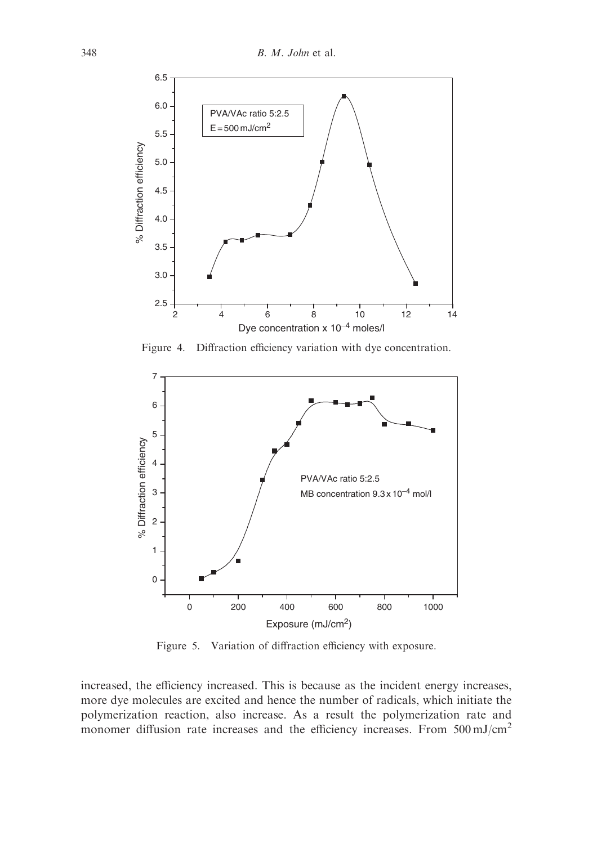

Figure 4. Diffraction efficiency variation with dye concentration.



Figure 5. Variation of diffraction efficiency with exposure.

increased, the efficiency increased. This is because as the incident energy increases, more dye molecules are excited and hence the number of radicals, which initiate the polymerization reaction, also increase. As a result the polymerization rate and monomer diffusion rate increases and the efficiency increases. From  $500 \text{ mJ/cm}^2$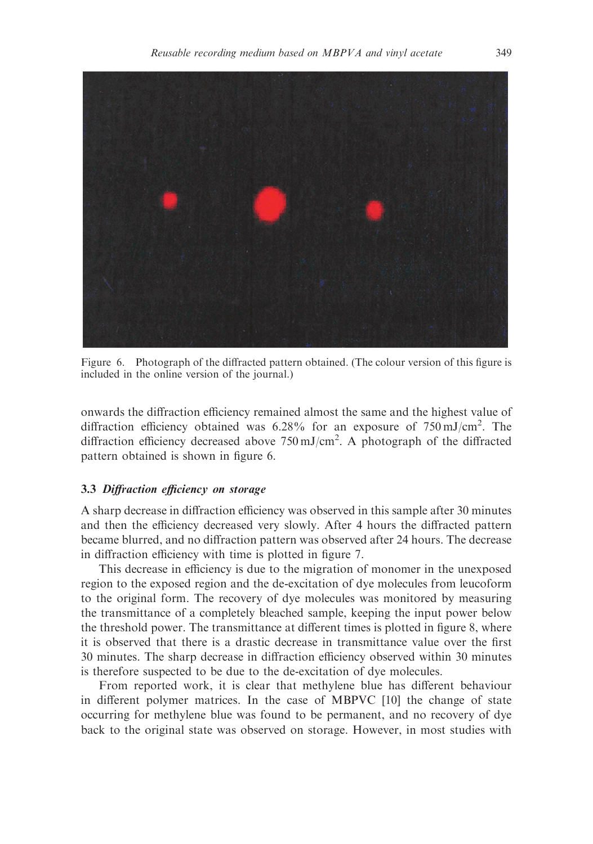

Figure 6. Photograph of the diffracted pattern obtained. (The colour version of this figure is included in the online version of the journal.)

onwards the diffraction efficiency remained almost the same and the highest value of diffraction efficiency obtained was 6.28% for an exposure of 750 mJ/cm<sup>2</sup>. The diffraction efficiency decreased above  $750 \text{ mJ/cm}^2$ . A photograph of the diffracted pattern obtained is shown in figure 6.

## 3.3 Diffraction efficiency on storage

A sharp decrease in diffraction efficiency was observed in this sample after 30 minutes and then the efficiency decreased very slowly. After 4 hours the diffracted pattern became blurred, and no diffraction pattern was observed after 24 hours. The decrease in diffraction efficiency with time is plotted in figure 7.

This decrease in efficiency is due to the migration of monomer in the unexposed region to the exposed region and the de-excitation of dye molecules from leucoform to the original form. The recovery of dye molecules was monitored by measuring the transmittance of a completely bleached sample, keeping the input power below the threshold power. The transmittance at different times is plotted in figure 8, where it is observed that there is a drastic decrease in transmittance value over the first 30 minutes. The sharp decrease in diffraction efficiency observed within 30 minutes is therefore suspected to be due to the de-excitation of dye molecules.

From reported work, it is clear that methylene blue has different behaviour in different polymer matrices. In the case of MBPVC [10] the change of state occurring for methylene blue was found to be permanent, and no recovery of dye back to the original state was observed on storage. However, in most studies with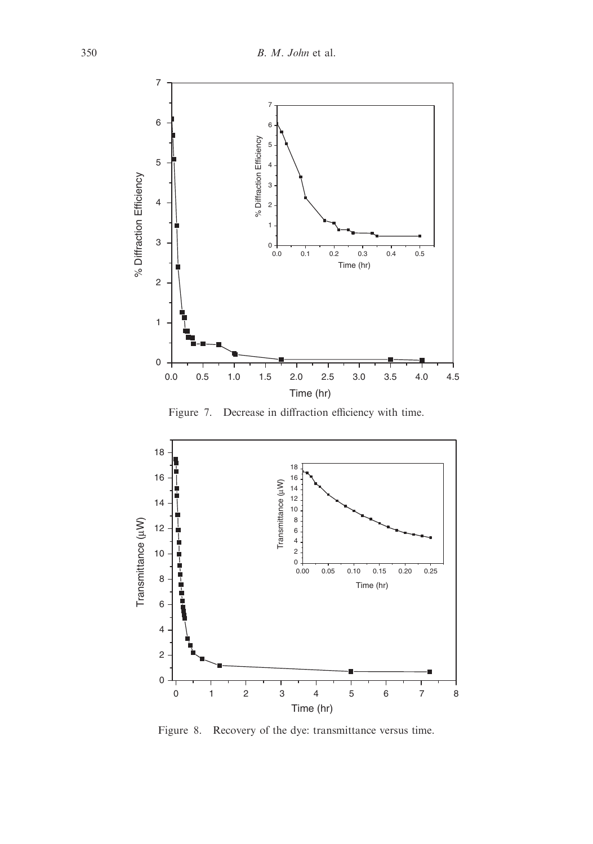

Figure 7. Decrease in diffraction efficiency with time.



Figure 8. Recovery of the dye: transmittance versus time.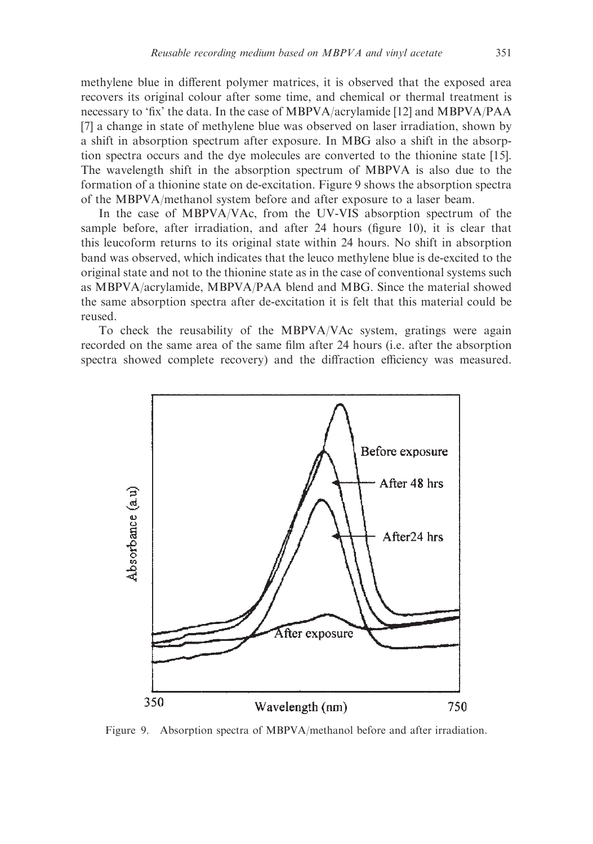methylene blue in different polymer matrices, it is observed that the exposed area recovers its original colour after some time, and chemical or thermal treatment is necessary to 'fix' the data. In the case of MBPVA/acrylamide [12] and MBPVA/PAA [7] a change in state of methylene blue was observed on laser irradiation, shown by a shift in absorption spectrum after exposure. In MBG also a shift in the absorption spectra occurs and the dye molecules are converted to the thionine state [15]. The wavelength shift in the absorption spectrum of MBPVA is also due to the formation of a thionine state on de-excitation. Figure 9 shows the absorption spectra of the MBPVA/methanol system before and after exposure to a laser beam.

In the case of MBPVA/VAc, from the UV-VIS absorption spectrum of the sample before, after irradiation, and after 24 hours (figure 10), it is clear that this leucoform returns to its original state within 24 hours. No shift in absorption band was observed, which indicates that the leuco methylene blue is de-excited to the original state and not to the thionine state as in the case of conventional systems such as MBPVA/acrylamide, MBPVA/PAA blend and MBG. Since the material showed the same absorption spectra after de-excitation it is felt that this material could be reused.

To check the reusability of the MBPVA/VAc system, gratings were again recorded on the same area of the same film after 24 hours (i.e. after the absorption spectra showed complete recovery) and the diffraction efficiency was measured.



Figure 9. Absorption spectra of MBPVA/methanol before and after irradiation.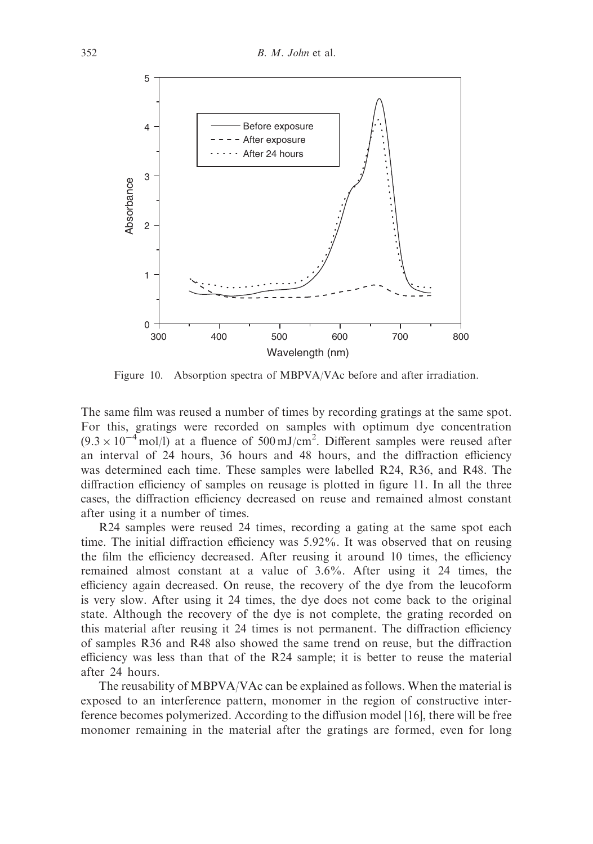

Figure 10. Absorption spectra of MBPVA/VAc before and after irradiation.

The same film was reused a number of times by recording gratings at the same spot. For this, gratings were recorded on samples with optimum dye concentration  $(9.3 \times 10^{-4}$  mol/l) at a fluence of 500 mJ/cm<sup>2</sup>. Different samples were reused after an interval of 24 hours, 36 hours and 48 hours, and the diffraction efficiency was determined each time. These samples were labelled R24, R36, and R48. The diffraction efficiency of samples on reusage is plotted in figure 11. In all the three cases, the diffraction efficiency decreased on reuse and remained almost constant after using it a number of times.

R24 samples were reused 24 times, recording a gating at the same spot each time. The initial diffraction efficiency was 5.92%. It was observed that on reusing the film the efficiency decreased. After reusing it around 10 times, the efficiency remained almost constant at a value of 3.6%. After using it 24 times, the efficiency again decreased. On reuse, the recovery of the dye from the leucoform is very slow. After using it 24 times, the dye does not come back to the original state. Although the recovery of the dye is not complete, the grating recorded on this material after reusing it 24 times is not permanent. The diffraction efficiency of samples R36 and R48 also showed the same trend on reuse, but the diffraction efficiency was less than that of the R24 sample; it is better to reuse the material after 24 hours.

The reusability of MBPVA/VAc can be explained as follows. When the material is exposed to an interference pattern, monomer in the region of constructive interference becomes polymerized. According to the diffusion model [16], there will be free monomer remaining in the material after the gratings are formed, even for long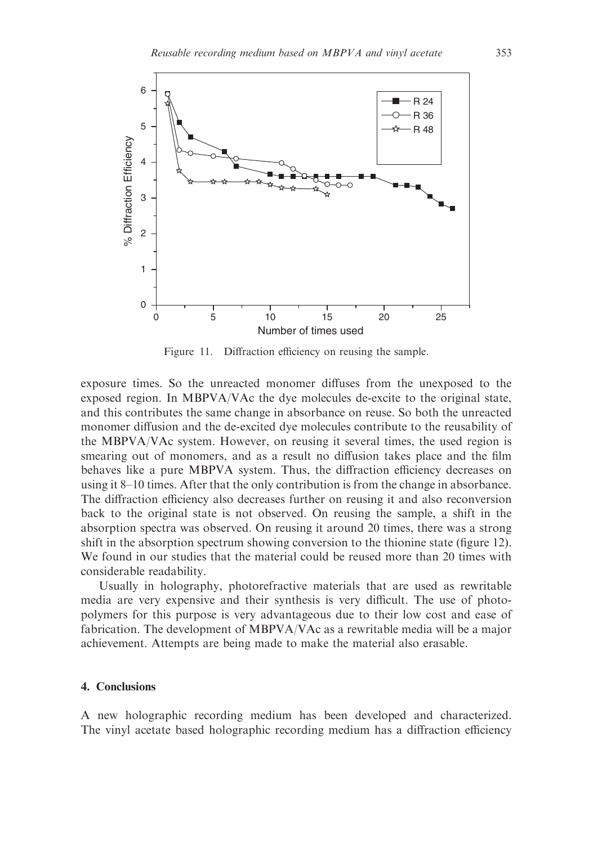

Figure 11. Diffraction efficiency on reusing the sample.

exposure times. So the unreacted monomer diffuses from the unexposed to the exposed region. In MBPVA/VAc the dye molecules de-excite to the original state, and this contributes the same change in absorbance on reuse. So both the unreacted monomer diffusion and the de-excited dye molecules contribute to the reusability of the MBPVA/VAc system. However, on reusing it several times, the used region is smearing out of monomers, and as a result no diffusion takes place and the film behaves like a pure MBPVA system. Thus, the diffraction efficiency decreases on using it 8–10 times. After that the only contribution is from the change in absorbance. The diffraction efficiency also decreases further on reusing it and also reconversion back to the original state is not observed. On reusing the sample, a shift in the absorption spectra was observed. On reusing it around 20 times, there was a strong shift in the absorption spectrum showing conversion to the thionine state (figure 12). We found in our studies that the material could be reused more than 20 times with considerable readability.

Usually in holography, photorefractive materials that are used as rewritable media are very expensive and their synthesis is very difficult. The use of photopolymers for this purpose is very advantageous due to their low cost and ease of fabrication. The development of MBPVA/VAc as a rewritable media will be a major achievement. Attempts are being made to make the material also erasable.

#### 4. Conclusions

A new holographic recording medium has been developed and characterized. The vinyl acetate based holographic recording medium has a diffraction efficiency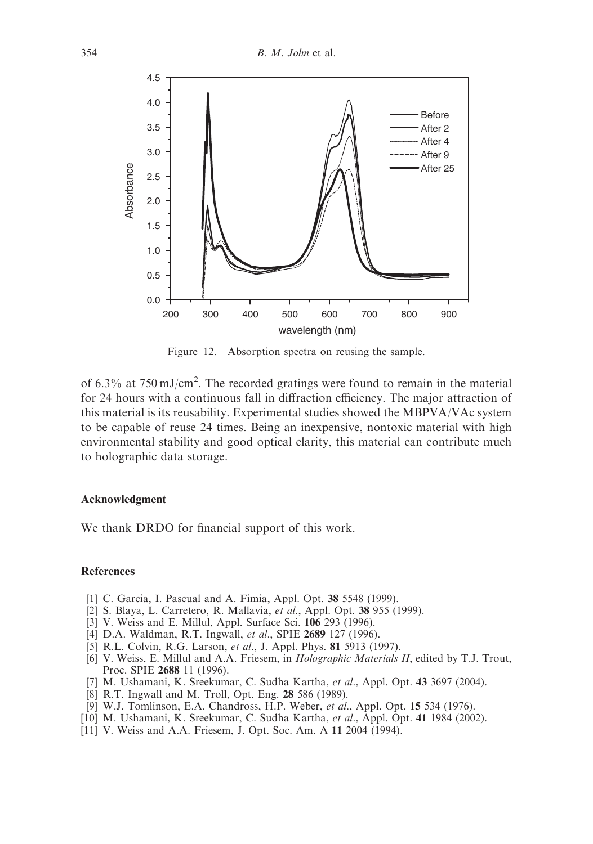

Figure 12. Absorption spectra on reusing the sample.

of 6.3% at  $750 \text{ mJ/cm}^2$ . The recorded gratings were found to remain in the material for 24 hours with a continuous fall in diffraction efficiency. The major attraction of this material is its reusability. Experimental studies showed the MBPVA/VAc system to be capable of reuse 24 times. Being an inexpensive, nontoxic material with high environmental stability and good optical clarity, this material can contribute much to holographic data storage.

#### Acknowledgment

We thank DRDO for financial support of this work.

#### **References**

- [1] C. Garcia, I. Pascual and A. Fimia, Appl. Opt. 38 5548 (1999).
- [2] S. Blaya, L. Carretero, R. Mallavia, et al., Appl. Opt. 38 955 (1999).
- [3] V. Weiss and E. Millul, Appl. Surface Sci. 106 293 (1996).
- [4] D.A. Waldman, R.T. Ingwall, et al., SPIE 2689 127 (1996).
- [5] R.L. Colvin, R.G. Larson, et al., J. Appl. Phys. 81 5913 (1997).
- [6] V. Weiss, E. Millul and A.A. Friesem, in Holographic Materials II, edited by T.J. Trout, Proc. SPIE 2688 11 (1996).
- [7] M. Ushamani, K. Sreekumar, C. Sudha Kartha, et al., Appl. Opt. 43 3697 (2004).
- [8] R.T. Ingwall and M. Troll, Opt. Eng. 28 586 (1989).
- [9] W.J. Tomlinson, E.A. Chandross, H.P. Weber, et al., Appl. Opt. 15 534 (1976).
- [10] M. Ushamani, K. Sreekumar, C. Sudha Kartha, et al., Appl. Opt. 41 1984 (2002).
- [11] V. Weiss and A.A. Friesem, J. Opt. Soc. Am. A 11 2004 (1994).